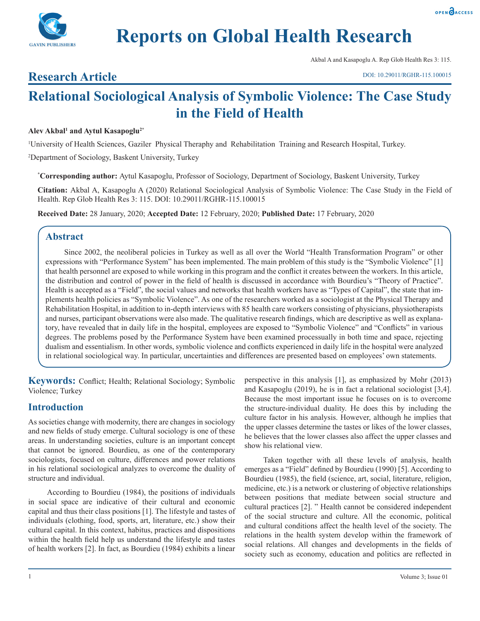



Akbal A and Kasapoglu A. Rep Glob Health Res 3: 115.

**Research Article**

# **Relational Sociological Analysis of Symbolic Violence: The Case Study in the Field of Health**

# **Alev Akbal1 and Aytul Kasapoglu2\***

1 University of Health Sciences, Gaziler Physical Theraphy and Rehabilitation Training and Research Hospital, Turkey. 2 Department of Sociology, Baskent University, Turkey

**\* Corresponding author:** Aytul Kasapoglu, Professor of Sociology, Department of Sociology, Baskent University, Turkey

**Citation:** Akbal A, Kasapoglu A (2020) Relational Sociological Analysis of Symbolic Violence: The Case Study in the Field of Health. Rep Glob Health Res 3: 115. DOI: 10.29011/RGHR-115.100015

**Received Date:** 28 January, 2020; **Accepted Date:** 12 February, 2020; **Published Date:** 17 February, 2020

# **Abstract**

Since 2002, the neoliberal policies in Turkey as well as all over the World "Health Transformation Program" or other expressions with "Performance System" has been implemented. The main problem of this study is the "Symbolic Violence" [1] that health personnel are exposed to while working in this program and the conflict it creates between the workers. In this article, the distribution and control of power in the field of health is discussed in accordance with Bourdieu's "Theory of Practice". Health is accepted as a "Field", the social values and networks that health workers have as "Types of Capital", the state that implements health policies as "Symbolic Violence". As one of the researchers worked as a sociologist at the Physical Therapy and Rehabilitation Hospital, in addition to in-depth interviews with 85 health care workers consisting of physicians, physiotherapists and nurses, participant observations were also made. The qualitative research findings, which are descriptive as well as explanatory, have revealed that in daily life in the hospital, employees are exposed to "Symbolic Violence" and "Conflicts" in various degrees. The problems posed by the Performance System have been examined processually in both time and space, rejecting dualism and essentialism. In other words, symbolic violence and conflicts experienced in daily life in the hospital were analyzed in relational sociological way. In particular, uncertainties and differences are presented based on employees' own statements.

**Keywords:** Conflict; Health; Relational Sociology; Symbolic Violence; Turkey

# **Introduction**

As societies change with modernity, there are changes in sociology and new fields of study emerge. Cultural sociology is one of these areas. In understanding societies, culture is an important concept that cannot be ignored. Bourdieu, as one of the contemporary sociologists, focused on culture, differences and power relations in his relational sociological analyzes to overcome the duality of structure and individual.

According to Bourdieu (1984), the positions of individuals in social space are indicative of their cultural and economic capital and thus their class positions [1]. The lifestyle and tastes of individuals (clothing, food, sports, art, literature, etc.) show their cultural capital. In this context, habitus, practices and dispositions within the health field help us understand the lifestyle and tastes of health workers [2]. In fact, as Bourdieu (1984) exhibits a linear

perspective in this analysis [1], as emphasized by Mohr (2013) and Kasapoglu (2019), he is in fact a relational sociologist [3,4]. Because the most important issue he focuses on is to overcome the structure-individual duality. He does this by including the culture factor in his analysis. However, although he implies that the upper classes determine the tastes or likes of the lower classes, he believes that the lower classes also affect the upper classes and show his relational view.

Taken together with all these levels of analysis, health emerges as a "Field" defined by Bourdieu (1990) [5]. According to Bourdieu (1985), the field (science, art, social, literature, religion, medicine, etc.) is a network or clustering of objective relationships between positions that mediate between social structure and cultural practices [2]. " Health cannot be considered independent of the social structure and culture. All the economic, political and cultural conditions affect the health level of the society. The relations in the health system develop within the framework of social relations. All changes and developments in the fields of society such as economy, education and politics are reflected in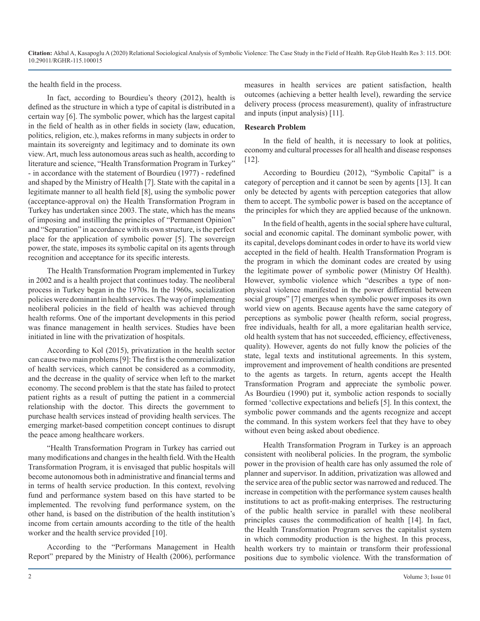the health field in the process.

In fact, according to Bourdieu's theory (2012), health is defined as the structure in which a type of capital is distributed in a certain way [6]. The symbolic power, which has the largest capital in the field of health as in other fields in society (law, education, politics, religion, etc.), makes reforms in many subjects in order to maintain its sovereignty and legitimacy and to dominate its own view. Art, much less autonomous areas such as health, according to literature and science, "Health Transformation Program in Turkey" - in accordance with the statement of Bourdieu (1977) - redefined and shaped by the Ministry of Health [7]. State with the capital in a legitimate manner to all health field [8], using the symbolic power (acceptance-approval on) the Health Transformation Program in Turkey has undertaken since 2003. The state, which has the means of imposing and instilling the principles of "Permanent Opinion" and "Separation" in accordance with its own structure, is the perfect place for the application of symbolic power [5]. The sovereign power, the state, imposes its symbolic capital on its agents through recognition and acceptance for its specific interests.

The Health Transformation Program implemented in Turkey in 2002 and is a health project that continues today. The neoliberal process in Turkey began in the 1970s. In the 1960s, socialization policies were dominant in health services. The way of implementing neoliberal policies in the field of health was achieved through health reforms. One of the important developments in this period was finance management in health services. Studies have been initiated in line with the privatization of hospitals.

According to Kol (2015), privatization in the health sector can cause two main problems [9]: The first is the commercialization of health services, which cannot be considered as a commodity, and the decrease in the quality of service when left to the market economy. The second problem is that the state has failed to protect patient rights as a result of putting the patient in a commercial relationship with the doctor. This directs the government to purchase health services instead of providing health services. The emerging market-based competition concept continues to disrupt the peace among healthcare workers.

"Health Transformation Program in Turkey has carried out many modifications and changes in the health field. With the Health Transformation Program, it is envisaged that public hospitals will become autonomous both in administrative and financial terms and in terms of health service production. In this context, revolving fund and performance system based on this have started to be implemented. The revolving fund performance system, on the other hand, is based on the distribution of the health institution's income from certain amounts according to the title of the health worker and the health service provided [10].

According to the "Performans Management in Health Report" prepared by the Ministry of Health (2006), performance measures in health services are patient satisfaction, health outcomes (achieving a better health level), rewarding the service delivery process (process measurement), quality of infrastructure and inputs (input analysis) [11].

#### **Research Problem**

In the field of health, it is necessary to look at politics, economy and cultural processes for all health and disease responses [12].

According to Bourdieu (2012), "Symbolic Capital" is a category of perception and it cannot be seen by agents [13]. It can only be detected by agents with perception categories that allow them to accept. The symbolic power is based on the acceptance of the principles for which they are applied because of the unknown.

In the field of health, agents in the social sphere have cultural, social and economic capital. The dominant symbolic power, with its capital, develops dominant codes in order to have its world view accepted in the field of health. Health Transformation Program is the program in which the dominant codes are created by using the legitimate power of symbolic power (Ministry Of Health). However, symbolic violence which "describes a type of nonphysical violence manifested in the power differential between social groups" [7] emerges when symbolic power imposes its own world view on agents. Because agents have the same category of perceptions as symbolic power (health reform, social progress, free individuals, health for all, a more egalitarian health service, old health system that has not succeeded, efficiency, effectiveness, quality). However, agents do not fully know the policies of the state, legal texts and institutional agreements. In this system, improvement and improvement of health conditions are presented to the agents as targets. In return, agents accept the Health Transformation Program and appreciate the symbolic power. As Bourdieu (1990) put it, symbolic action responds to socially formed 'collective expectations and beliefs [5]. In this context, the symbolic power commands and the agents recognize and accept the command. In this system workers feel that they have to obey without even being asked about obedience.

Health Transformation Program in Turkey is an approach consistent with neoliberal policies. In the program, the symbolic power in the provision of health care has only assumed the role of planner and supervisor. In addition, privatization was allowed and the service area of the public sector was narrowed and reduced. The increase in competition with the performance system causes health institutions to act as profit-making enterprises. The restructuring of the public health service in parallel with these neoliberal principles causes the commodification of health [14]. In fact, the Health Transformation Program serves the capitalist system in which commodity production is the highest. In this process, health workers try to maintain or transform their professional positions due to symbolic violence. With the transformation of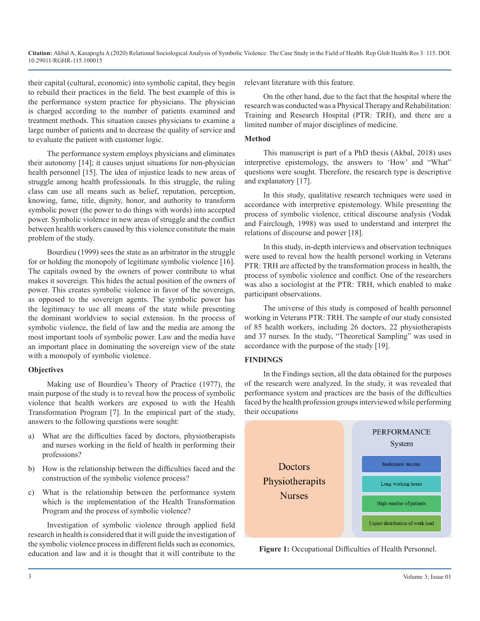their capital (cultural, economic) into symbolic capital, they begin to rebuild their practices in the field. The best example of this is the performance system practice for physicians. The physician is charged according to the number of patients examined and treatment methods. This situation causes physicians to examine a large number of patients and to decrease the quality of service and to evaluate the patient with customer logic.

The performance system employs physicians and eliminates their autonomy [14]; it causes unjust situations for non-physician health personnel [15]. The idea of injustice leads to new areas of struggle among health professionals. In this struggle, the ruling class can use all means such as belief, reputation, perception, knowing, fame, title, dignity, honor, and authority to transform symbolic power (the power to do things with words) into accepted power. Symbolic violence in new areas of struggle and the conflict between health workers caused by this violence constitute the main problem of the study.

Bourdieu (1999) sees the state as an arbitrator in the struggle for or holding the monopoly of legitimate symbolic violence [16]. The capitals owned by the owners of power contribute to what makes it sovereign. This hides the actual position of the owners of power. This creates symbolic violence in favor of the sovereign, as opposed to the sovereign agents. The symbolic power has the legitimacy to use all means of the state while presenting the dominant worldview to social extension. In the process of symbolic violence, the field of law and the media are among the most important tools of symbolic power. Law and the media have an important place in dominating the sovereign view of the state with a monopoly of symbolic violence.

#### **Objectives**

Making use of Bourdieu's Theory of Practice (1977), the main purpose of the study is to reveal how the process of symbolic violence that health workers are exposed to with the Health Transformation Program [7]. In the empirical part of the study, answers to the following questions were sought:

- a) What are the difficulties faced by doctors, physiotherapists and nurses working in the field of health in performing their professions?
- b) How is the relationship between the difficulties faced and the construction of the symbolic violence process?
- c) What is the relationship between the performance system which is the implementation of the Health Transformation Program and the process of symbolic violence?

Investigation of symbolic violence through applied field research in health is considered that it will guide the investigation of the symbolic violence process in different fields such as economics, education and law and it is thought that it will contribute to the relevant literature with this feature.

On the other hand, due to the fact that the hospital where the research was conducted was a Physical Therapy and Rehabilitation: Training and Research Hospital (PTR: TRH), and there are a limited number of major disciplines of medicine.

#### **Method**

This manuscript is part of a PhD thesis (Akbal, 2018) uses interpretive epistemology, the answers to 'How' and "What" questions were sought. Therefore, the research type is descriptive and explanatory [17].

In this study, qualitative research techniques were used in accordance with interpretive epistemology. While presenting the process of symbolic violence, critical discourse analysis (Vodak and Fairclough, 1998) was used to understand and interpret the relations of discourse and power [18].

In this study, in-depth interviews and observation techniques were used to reveal how the health personel working in Veterans PTR: TRH are affected by the transformation process in health, the process of symbolic violence and conflict. One of the researchers was also a sociologist at the PTR: TRH, which enabled to make participant observations.

The universe of this study is composed of health personnel working in Veterans PTR: TRH. The sample of our study consisted of 85 health workers, including 26 doctors, 22 physiotherapists and 37 nurses. In the study, "Theoretical Sampling" was used in accordance with the purpose of the study [19].

#### **FINDINGS**

In the Findings section, all the data obtained for the purposes of the research were analyzed. In the study, it was revealed that performance system and practices are the basis of the difficulties faced by the health profession groups interviewed while performing their occupations



**Figure 1:** Occupational Difficulties of Health Personnel.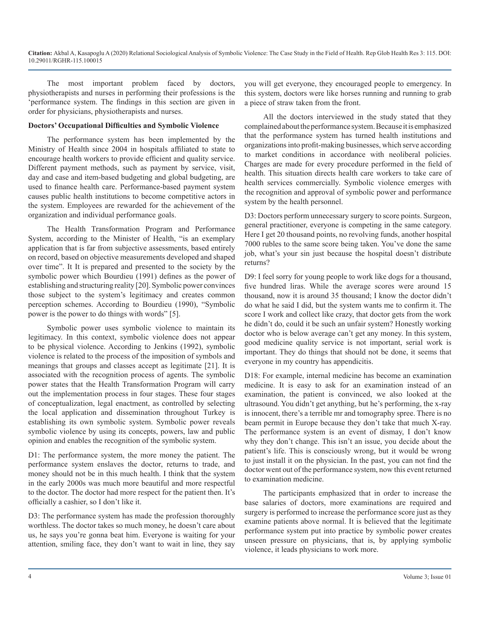The most important problem faced by doctors, physiotherapists and nurses in performing their professions is the 'performance system. The findings in this section are given in order for physicians, physiotherapists and nurses.

#### **Doctors' Occupational Difficulties and Symbolic Violence**

The performance system has been implemented by the Ministry of Health since 2004 in hospitals affiliated to state to encourage health workers to provide efficient and quality service. Different payment methods, such as payment by service, visit, day and case and item-based budgeting and global budgeting, are used to finance health care. Performance-based payment system causes public health institutions to become competitive actors in the system. Employees are rewarded for the achievement of the organization and individual performance goals.

The Health Transformation Program and Performance System, according to the Minister of Health, "is an exemplary application that is far from subjective assessments, based entirely on record, based on objective measurements developed and shaped over time". It It is prepared and presented to the society by the symbolic power which Bourdieu (1991) defines as the power of establishing and structuring reality [20]. Symbolic power convinces those subject to the system's legitimacy and creates common perception schemes. According to Bourdieu (1990), "Symbolic power is the power to do things with words" [5].

Symbolic power uses symbolic violence to maintain its legitimacy. In this context, symbolic violence does not appear to be physical violence. According to Jenkins (1992), symbolic violence is related to the process of the imposition of symbols and meanings that groups and classes accept as legitimate [21]. It is associated with the recognition process of agents. The symbolic power states that the Health Transformation Program will carry out the implementation process in four stages. These four stages of conceptualization, legal enactment, as controlled by selecting the local application and dissemination throughout Turkey is establishing its own symbolic system. Symbolic power reveals symbolic violence by using its concepts, powers, law and public opinion and enables the recognition of the symbolic system.

D1: The performance system, the more money the patient. The performance system enslaves the doctor, returns to trade, and money should not be in this much health. I think that the system in the early 2000s was much more beautiful and more respectful to the doctor. The doctor had more respect for the patient then. It's officially a cashier, so I don't like it.

D3: The performance system has made the profession thoroughly worthless. The doctor takes so much money, he doesn't care about us, he says you're gonna beat him. Everyone is waiting for your attention, smiling face, they don't want to wait in line, they say

you will get everyone, they encouraged people to emergency. In this system, doctors were like horses running and running to grab a piece of straw taken from the front.

All the doctors interviewed in the study stated that they complained about the performance system. Because it is emphasized that the performance system has turned health institutions and organizations into profit-making businesses, which serve according to market conditions in accordance with neoliberal policies. Charges are made for every procedure performed in the field of health. This situation directs health care workers to take care of health services commercially. Symbolic violence emerges with the recognition and approval of symbolic power and performance system by the health personnel.

D3: Doctors perform unnecessary surgery to score points. Surgeon, general practitioner, everyone is competing in the same category. Here I get 20 thousand points, no revolving funds, another hospital 7000 rubles to the same score being taken. You've done the same job, what's your sin just because the hospital doesn't distribute returns?

D9: I feel sorry for young people to work like dogs for a thousand, five hundred liras. While the average scores were around 15 thousand, now it is around 35 thousand; I know the doctor didn't do what he said I did, but the system wants me to confirm it. The score I work and collect like crazy, that doctor gets from the work he didn't do, could it be such an unfair system? Honestly working doctor who is below average can't get any money. In this system, good medicine quality service is not important, serial work is important. They do things that should not be done, it seems that everyone in my country has appendicitis.

D18: For example, internal medicine has become an examination medicine. It is easy to ask for an examination instead of an examination, the patient is convinced, we also looked at the ultrasound. You didn't get anything, but he's performing, the x-ray is innocent, there's a terrible mr and tomography spree. There is no beam permit in Europe because they don't take that much X-ray. The performance system is an event of dismay, I don't know why they don't change. This isn't an issue, you decide about the patient's life. This is consciously wrong, but it would be wrong to just install it on the physician. In the past, you can not find the doctor went out of the performance system, now this event returned to examination medicine.

The participants emphasized that in order to increase the base salaries of doctors, more examinations are required and surgery is performed to increase the performance score just as they examine patients above normal. It is believed that the legitimate performance system put into practice by symbolic power creates unseen pressure on physicians, that is, by applying symbolic violence, it leads physicians to work more.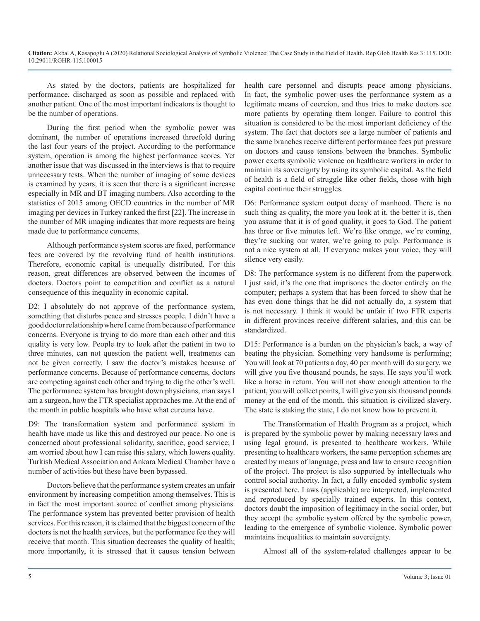As stated by the doctors, patients are hospitalized for performance, discharged as soon as possible and replaced with another patient. One of the most important indicators is thought to be the number of operations.

During the first period when the symbolic power was dominant, the number of operations increased threefold during the last four years of the project. According to the performance system, operation is among the highest performance scores. Yet another issue that was discussed in the interviews is that to require unnecessary tests. When the number of imaging of some devices is examined by years, it is seen that there is a significant increase especially in MR and BT imaging numbers. Also according to the statistics of 2015 among OECD countries in the number of MR imaging per devices in Turkey ranked the first [22]. The increase in the number of MR imaging indicates that more requests are being made due to performance concerns.

Although performance system scores are fixed, performance fees are covered by the revolving fund of health institutions. Therefore, economic capital is unequally distributed. For this reason, great differences are observed between the incomes of doctors. Doctors point to competition and conflict as a natural consequence of this inequality in economic capital.

D2: I absolutely do not approve of the performance system, something that disturbs peace and stresses people. I didn't have a good doctor relationship where I came from because of performance concerns. Everyone is trying to do more than each other and this quality is very low. People try to look after the patient in two to three minutes, can not question the patient well, treatments can not be given correctly, I saw the doctor's mistakes because of performance concerns. Because of performance concerns, doctors are competing against each other and trying to dig the other's well. The performance system has brought down physicians, man says I am a surgeon, how the FTR specialist approaches me. At the end of the month in public hospitals who have what curcuna have.

D9: The transformation system and performance system in health have made us like this and destroyed our peace. No one is concerned about professional solidarity, sacrifice, good service; I am worried about how I can raise this salary, which lowers quality. Turkish Medical Association and Ankara Medical Chamber have a number of activities but these have been bypassed.

Doctors believe that the performance system creates an unfair environment by increasing competition among themselves. This is in fact the most important source of conflict among physicians. The performance system has prevented better provision of health services. For this reason, it is claimed that the biggest concern of the doctors is not the health services, but the performance fee they will receive that month. This situation decreases the quality of health; more importantly, it is stressed that it causes tension between

health care personnel and disrupts peace among physicians. In fact, the symbolic power uses the performance system as a legitimate means of coercion, and thus tries to make doctors see more patients by operating them longer. Failure to control this situation is considered to be the most important deficiency of the system. The fact that doctors see a large number of patients and the same branches receive different performance fees put pressure on doctors and cause tensions between the branches. Symbolic power exerts symbolic violence on healthcare workers in order to maintain its sovereignty by using its symbolic capital. As the field of health is a field of struggle like other fields, those with high capital continue their struggles.

D6: Performance system output decay of manhood. There is no such thing as quality, the more you look at it, the better it is, then you assume that it is of good quality, it goes to God. The patient has three or five minutes left. We're like orange, we're coming, they're sucking our water, we're going to pulp. Performance is not a nice system at all. If everyone makes your voice, they will silence very easily.

D8: The performance system is no different from the paperwork I just said, it's the one that imprisones the doctor entirely on the computer; perhaps a system that has been forced to show that he has even done things that he did not actually do, a system that is not necessary. I think it would be unfair if two FTR experts in different provinces receive different salaries, and this can be standardized.

D15: Performance is a burden on the physician's back, a way of beating the physician. Something very handsome is performing; You will look at 70 patients a day, 40 per month will do surgery, we will give you five thousand pounds, he says. He says you'il work like a horse in return. You will not show enough attention to the patient, you will collect points, I will give you six thousand pounds money at the end of the month, this situation is civilized slavery. The state is staking the state, I do not know how to prevent it.

The Transformation of Health Program as a project, which is prepared by the symbolic power by making necessary laws and using legal ground, is presented to healthcare workers. While presenting to healthcare workers, the same perception schemes are created by means of language, press and law to ensure recognition of the project. The project is also supported by intellectuals who control social authority. In fact, a fully encoded symbolic system is presented here. Laws (applicable) are interpreted, implemented and reproduced by specially trained experts. In this context, doctors doubt the imposition of legitimacy in the social order, but they accept the symbolic system offered by the symbolic power, leading to the emergence of symbolic violence. Symbolic power maintains inequalities to maintain sovereignty.

Almost all of the system-related challenges appear to be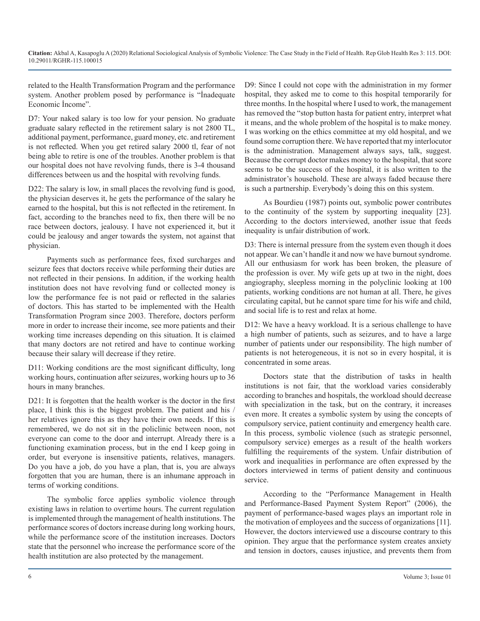related to the Health Transformation Program and the performance system. Another problem posed by performance is "İnadequate Economic İncome".

D7: Your naked salary is too low for your pension. No graduate graduate salary reflected in the retirement salary is not 2800 TL, additional payment, performance, guard money, etc. and retirement is not reflected. When you get retired salary 2000 tl, fear of not being able to retire is one of the troubles. Another problem is that our hospital does not have revolving funds, there is 3-4 thousand differences between us and the hospital with revolving funds.

D22: The salary is low, in small places the revolving fund is good, the physician deserves it, he gets the performance of the salary he earned to the hospital, but this is not reflected in the retirement. In fact, according to the branches need to fix, then there will be no race between doctors, jealousy. I have not experienced it, but it could be jealousy and anger towards the system, not against that physician.

Payments such as performance fees, fixed surcharges and seizure fees that doctors receive while performing their duties are not reflected in their pensions. In addition, if the working health institution does not have revolving fund or collected money is low the performance fee is not paid or reflected in the salaries of doctors. This has started to be implemented with the Health Transformation Program since 2003. Therefore, doctors perform more in order to increase their income, see more patients and their working time increases depending on this situation. It is claimed that many doctors are not retired and have to continue working because their salary will decrease if they retire.

D11: Working conditions are the most significant difficulty, long working hours, continuation after seizures, working hours up to 36 hours in many branches.

D21: It is forgotten that the health worker is the doctor in the first place, I think this is the biggest problem. The patient and his / her relatives ignore this as they have their own needs. If this is remembered, we do not sit in the policlinic between noon, not everyone can come to the door and interrupt. Already there is a functioning examination process, but in the end I keep going in order, but everyone is insensitive patients, relatives, managers. Do you have a job, do you have a plan, that is, you are always forgotten that you are human, there is an inhumane approach in terms of working conditions.

The symbolic force applies symbolic violence through existing laws in relation to overtime hours. The current regulation is implemented through the management of health institutions. The performance scores of doctors increase during long working hours, while the performance score of the institution increases. Doctors state that the personnel who increase the performance score of the health institution are also protected by the management.

D9: Since I could not cope with the administration in my former hospital, they asked me to come to this hospital temporarily for three months. In the hospital where I used to work, the management has removed the "stop button hasta for patient entry, interpret what it means, and the whole problem of the hospital is to make money. I was working on the ethics committee at my old hospital, and we found some corruption there. We have reported that my interlocutor is the administration. Management always says, talk, suggest. Because the corrupt doctor makes money to the hospital, that score seems to be the success of the hospital, it is also written to the administrator's household. These are always faded because there is such a partnership. Everybody's doing this on this system.

As Bourdieu (1987) points out, symbolic power contributes to the continuity of the system by supporting inequality [23]. According to the doctors interviewed, another issue that feeds inequality is unfair distribution of work.

D3: There is internal pressure from the system even though it does not appear. We can't handle it and now we have burnout syndrome. All our enthusiasm for work has been broken, the pleasure of the profession is over. My wife gets up at two in the night, does angiography, sleepless morning in the polyclinic looking at 100 patients, working conditions are not human at all. There, he gives circulating capital, but he cannot spare time for his wife and child, and social life is to rest and relax at home.

D12: We have a heavy workload. It is a serious challenge to have a high number of patients, such as seizures, and to have a large number of patients under our responsibility. The high number of patients is not heterogeneous, it is not so in every hospital, it is concentrated in some areas.

Doctors state that the distribution of tasks in health institutions is not fair, that the workload varies considerably according to branches and hospitals, the workload should decrease with specialization in the task, but on the contrary, it increases even more. It creates a symbolic system by using the concepts of compulsory service, patient continuity and emergency health care. In this process, symbolic violence (such as strategic personnel, compulsory service) emerges as a result of the health workers fulfilling the requirements of the system. Unfair distribution of work and inequalities in performance are often expressed by the doctors interviewed in terms of patient density and continuous service.

According to the "Performance Management in Health and Performance-Based Payment System Report" (2006), the payment of performance-based wages plays an important role in the motivation of employees and the success of organizations [11]. However, the doctors interviewed use a discourse contrary to this opinion. They argue that the performance system creates anxiety and tension in doctors, causes injustice, and prevents them from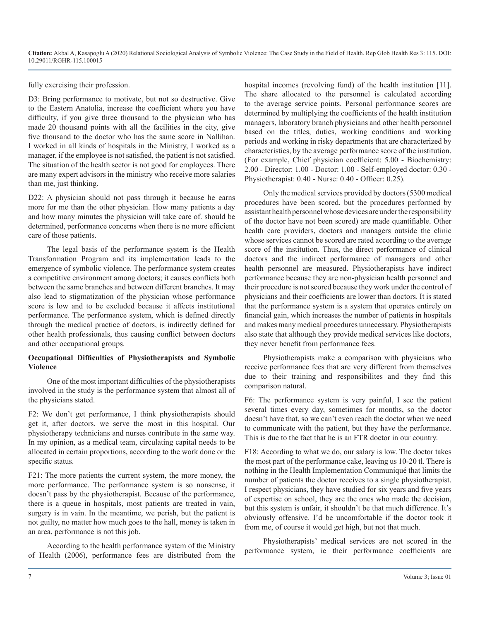fully exercising their profession.

D3: Bring performance to motivate, but not so destructive. Give to the Eastern Anatolia, increase the coefficient where you have difficulty, if you give three thousand to the physician who has made 20 thousand points with all the facilities in the city, give five thousand to the doctor who has the same score in Nallihan. I worked in all kinds of hospitals in the Ministry, I worked as a manager, if the employee is not satisfied, the patient is not satisfied. The situation of the health sector is not good for employees. There are many expert advisors in the ministry who receive more salaries than me, just thinking.

D22: A physician should not pass through it because he earns more for me than the other physician. How many patients a day and how many minutes the physician will take care of. should be determined, performance concerns when there is no more efficient care of those patients.

The legal basis of the performance system is the Health Transformation Program and its implementation leads to the emergence of symbolic violence. The performance system creates a competitive environment among doctors; it causes conflicts both between the same branches and between different branches. It may also lead to stigmatization of the physician whose performance score is low and to be excluded because it affects institutional performance. The performance system, which is defined directly through the medical practice of doctors, is indirectly defined for other health professionals, thus causing conflict between doctors and other occupational groups.

### **Occupational Difficulties of Physiotherapists and Symbolic Violence**

One of the most important difficulties of the physiotherapists involved in the study is the performance system that almost all of the physicians stated.

F2: We don't get performance, I think physiotherapists should get it, after doctors, we serve the most in this hospital. Our physiotherapy technicians and nurses contribute in the same way. In my opinion, as a medical team, circulating capital needs to be allocated in certain proportions, according to the work done or the specific status.

F21: The more patients the current system, the more money, the more performance. The performance system is so nonsense, it doesn't pass by the physiotherapist. Because of the performance, there is a queue in hospitals, most patients are treated in vain, surgery is in vain. In the meantime, we perish, but the patient is not guilty, no matter how much goes to the hall, money is taken in an area, performance is not this job.

According to the health performance system of the Ministry of Health (2006), performance fees are distributed from the hospital incomes (revolving fund) of the health institution [11]. The share allocated to the personnel is calculated according to the average service points. Personal performance scores are determined by multiplying the coefficients of the health institution managers, laboratory branch physicians and other health personnel based on the titles, duties, working conditions and working periods and working in risky departments that are characterized by characteristics, by the average performance score of the institution. (For example, Chief physician coefficient: 5.00 - Biochemistry: 2.00 - Director: 1.00 - Doctor: 1.00 - Self-employed doctor: 0.30 - Physiotherapist: 0.40 - Nurse: 0.40 - Officer: 0.25).

Only the medical services provided by doctors (5300 medical procedures have been scored, but the procedures performed by assistant health personnel whose devices are under the responsibility of the doctor have not been scored) are made quantifiable. Other health care providers, doctors and managers outside the clinic whose services cannot be scored are rated according to the average score of the institution. Thus, the direct performance of clinical doctors and the indirect performance of managers and other health personnel are measured. Physiotherapists have indirect performance because they are non-physician health personnel and their procedure is not scored because they work under the control of physicians and their coefficients are lower than doctors. It is stated that the performance system is a system that operates entirely on financial gain, which increases the number of patients in hospitals and makes many medical procedures unnecessary. Physiotherapists also state that although they provide medical services like doctors, they never benefit from performance fees.

Physiotherapists make a comparison with physicians who receive performance fees that are very different from themselves due to their training and responsibilites and they find this comparison natural.

F6: The performance system is very painful, I see the patient several times every day, sometimes for months, so the doctor doesn't have that, so we can't even reach the doctor when we need to communicate with the patient, but they have the performance. This is due to the fact that he is an FTR doctor in our country.

F18: According to what we do, our salary is low. The doctor takes the most part of the performance cake, leaving us 10-20 tl. There is nothing in the Health Implementation Communiqué that limits the number of patients the doctor receives to a single physiotherapist. I respect physicians, they have studied for six years and five years of expertise on school, they are the ones who made the decision, but this system is unfair, it shouldn't be that much difference. It's obviously offensive. I'd be uncomfortable if the doctor took it from me, of course it would get high, but not that much.

Physiotherapists' medical services are not scored in the performance system, ie their performance coefficients are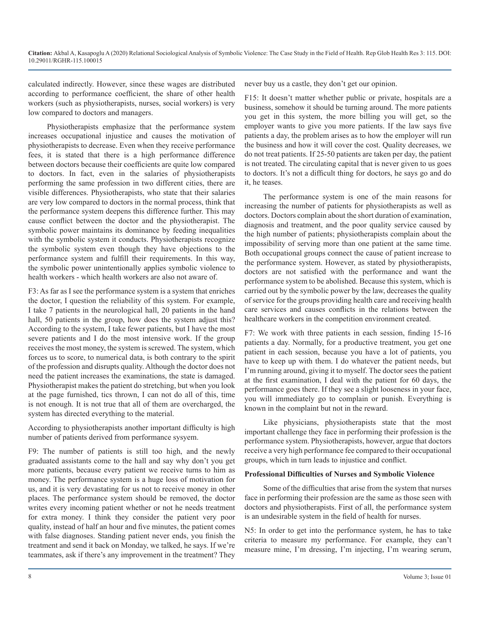calculated indirectly. However, since these wages are distributed according to performance coefficient, the share of other health workers (such as physiotherapists, nurses, social workers) is very low compared to doctors and managers.

Physiotherapists emphasize that the performance system increases occupational injustice and causes the motivation of physiotherapists to decrease. Even when they receive performance fees, it is stated that there is a high performance difference between doctors because their coefficients are quite low compared to doctors. In fact, even in the salaries of physiotherapists performing the same profession in two different cities, there are visible differences. Physiotherapists, who state that their salaries are very low compared to doctors in the normal process, think that the performance system deepens this difference further. This may cause conflict between the doctor and the physiotherapist. The symbolic power maintains its dominance by feeding inequalities with the symbolic system it conducts. Physiotherapists recognize the symbolic system even though they have objections to the performance system and fulfill their requirements. In this way, the symbolic power unintentionally applies symbolic violence to health workers - which health workers are also not aware of.

F3: As far as I see the performance system is a system that enriches the doctor, I question the reliability of this system. For example, I take 7 patients in the neurological hall, 20 patients in the hand hall, 50 patients in the group, how does the system adjust this? According to the system, I take fewer patients, but I have the most severe patients and I do the most intensive work. If the group receives the most money, the system is screwed. The system, which forces us to score, to numerical data, is both contrary to the spirit of the profession and disrupts quality. Although the doctor does not need the patient increases the examinations, the state is damaged. Physiotherapist makes the patient do stretching, but when you look at the page furnished, tics thrown, I can not do all of this, time is not enough. It is not true that all of them are overcharged, the system has directed everything to the material.

According to physiotherapists another important difficulty is high number of patients derived from performance sysyem.

F9: The number of patients is still too high, and the newly graduated assistants come to the hall and say why don't you get more patients, because every patient we receive turns to him as money. The performance system is a huge loss of motivation for us, and it is very devastating for us not to receive money in other places. The performance system should be removed, the doctor writes every incoming patient whether or not he needs treatment for extra money. I think they consider the patient very poor quality, instead of half an hour and five minutes, the patient comes with false diagnoses. Standing patient never ends, you finish the treatment and send it back on Monday, we talked, he says. If we're teammates, ask if there's any improvement in the treatment? They

never buy us a castle, they don't get our opinion.

F15: It doesn't matter whether public or private, hospitals are a business, somehow it should be turning around. The more patients you get in this system, the more billing you will get, so the employer wants to give you more patients. If the law says five patients a day, the problem arises as to how the employer will run the business and how it will cover the cost. Quality decreases, we do not treat patients. If 25-50 patients are taken per day, the patient is not treated. The circulating capital that is never given to us goes to doctors. It's not a difficult thing for doctors, he says go and do it, he teases.

The performance system is one of the main reasons for increasing the number of patients for physiotherapists as well as doctors. Doctors complain about the short duration of examination, diagnosis and treatment, and the poor quality service caused by the high number of patients; physiotherapists complain about the impossibility of serving more than one patient at the same time. Both occupational groups connect the cause of patient increase to the performance system. However, as stated by physiotherapists, doctors are not satisfied with the performance and want the performance system to be abolished. Because this system, which is carried out by the symbolic power by the law, decreases the quality of service for the groups providing health care and receiving health care services and causes conflicts in the relations between the healthcare workers in the competition environment created.

F7: We work with three patients in each session, finding 15-16 patients a day. Normally, for a productive treatment, you get one patient in each session, because you have a lot of patients, you have to keep up with them. I do whatever the patient needs, but I'm running around, giving it to myself. The doctor sees the patient at the first examination, I deal with the patient for 60 days, the performance goes there. If they see a slight looseness in your face, you will immediately go to complain or punish. Everything is known in the complaint but not in the reward.

Like physicians, physiotherapists state that the most important challenge they face in performing their profession is the performance system. Physiotherapists, however, argue that doctors receive a very high performance fee compared to their occupational groups, which in turn leads to injustice and conflict.

#### **Professional Difficulties of Nurses and Symbolic Violence**

Some of the difficulties that arise from the system that nurses face in performing their profession are the same as those seen with doctors and physiotherapists. First of all, the performance system is an undesirable system in the field of health for nurses.

N5: In order to get into the performance system, he has to take criteria to measure my performance. For example, they can't measure mine, I'm dressing, I'm injecting, I'm wearing serum,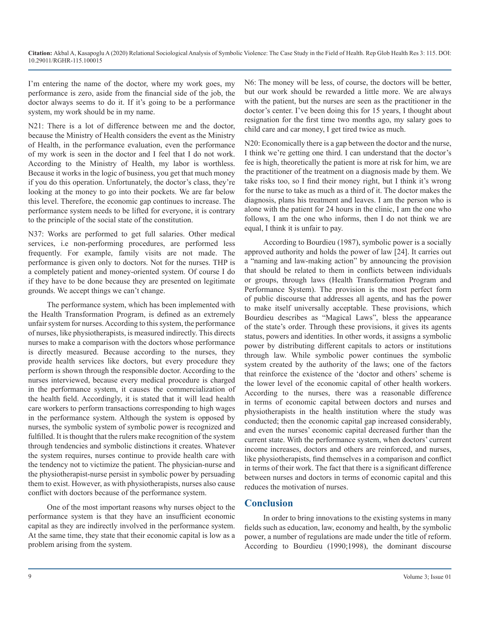I'm entering the name of the doctor, where my work goes, my performance is zero, aside from the financial side of the job, the doctor always seems to do it. If it's going to be a performance system, my work should be in my name.

N21: There is a lot of difference between me and the doctor, because the Ministry of Health considers the event as the Ministry of Health, in the performance evaluation, even the performance of my work is seen in the doctor and I feel that I do not work. According to the Ministry of Health, my labor is worthless. Because it works in the logic of business, you get that much money if you do this operation. Unfortunately, the doctor's class, they're looking at the money to go into their pockets. We are far below this level. Therefore, the economic gap continues to increase. The performance system needs to be lifted for everyone, it is contrary to the principle of the social state of the constitution.

N37: Works are performed to get full salaries. Other medical services, i.e non-performing procedures, are performed less frequently. For example, family visits are not made. The performance is given only to doctors. Not for the nurses. THP is a completely patient and money-oriented system. Of course I do if they have to be done because they are presented on legitimate grounds. We accept things we can't change.

The performance system, which has been implemented with the Health Transformation Program, is defined as an extremely unfair system for nurses. According to this system, the performance of nurses, like physiotherapists, is measured indirectly. This directs nurses to make a comparison with the doctors whose performance is directly measured. Because according to the nurses, they provide health services like doctors, but every procedure they perform is shown through the responsible doctor. According to the nurses interviewed, because every medical procedure is charged in the performance system, it causes the commercialization of the health field. Accordingly, it is stated that it will lead health care workers to perform transactions corresponding to high wages in the performance system. Although the system is opposed by nurses, the symbolic system of symbolic power is recognized and fulfilled. It is thought that the rulers make recognition of the system through tendencies and symbolic distinctions it creates. Whatever the system requires, nurses continue to provide health care with the tendency not to victimize the patient. The physician-nurse and the physiotherapist-nurse persist in symbolic power by persuading them to exist. However, as with physiotherapists, nurses also cause conflict with doctors because of the performance system.

One of the most important reasons why nurses object to the performance system is that they have an insufficient economic capital as they are indirectly involved in the performance system. At the same time, they state that their economic capital is low as a problem arising from the system.

N6: The money will be less, of course, the doctors will be better, but our work should be rewarded a little more. We are always with the patient, but the nurses are seen as the practitioner in the doctor's center. I've been doing this for 15 years, I thought about resignation for the first time two months ago, my salary goes to child care and car money, I get tired twice as much.

N20: Economically there is a gap between the doctor and the nurse, I think we're getting one third. I can understand that the doctor's fee is high, theoretically the patient is more at risk for him, we are the practitioner of the treatment on a diagnosis made by them. We take risks too, so I find their money right, but I think it's wrong for the nurse to take as much as a third of it. The doctor makes the diagnosis, plans his treatment and leaves. I am the person who is alone with the patient for 24 hours in the clinic, I am the one who follows, I am the one who informs, then I do not think we are equal, I think it is unfair to pay.

According to Bourdieu (1987), symbolic power is a socially approved authority and holds the power of law [24]. It carries out a "naming and law-making action" by announcing the provision that should be related to them in conflicts between individuals or groups, through laws (Health Transformation Program and Performance System). The provision is the most perfect form of public discourse that addresses all agents, and has the power to make itself universally acceptable. These provisions, which Bourdieu describes as "Magical Laws", bless the appearance of the state's order. Through these provisions, it gives its agents status, powers and identities. In other words, it assigns a symbolic power by distributing different capitals to actors or institutions through law. While symbolic power continues the symbolic system created by the authority of the laws; one of the factors that reinforce the existence of the 'doctor and others' scheme is the lower level of the economic capital of other health workers. According to the nurses, there was a reasonable difference in terms of economic capital between doctors and nurses and physiotherapists in the health institution where the study was conducted; then the economic capital gap increased considerably, and even the nurses' economic capital decreased further than the current state. With the performance system, when doctors' current income increases, doctors and others are reinforced, and nurses, like physiotherapists, find themselves in a comparison and conflict in terms of their work. The fact that there is a significant difference between nurses and doctors in terms of economic capital and this reduces the motivation of nurses.

# **Conclusion**

In order to bring innovations to the existing systems in many fields such as education, law, economy and health, by the symbolic power, a number of regulations are made under the title of reform. According to Bourdieu (1990;1998), the dominant discourse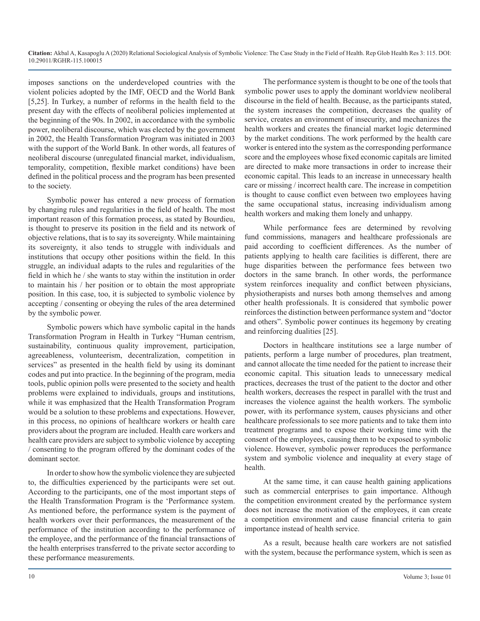imposes sanctions on the underdeveloped countries with the violent policies adopted by the IMF, OECD and the World Bank [5,25]. In Turkey, a number of reforms in the health field to the present day with the effects of neoliberal policies implemented at the beginning of the 90s. In 2002, in accordance with the symbolic power, neoliberal discourse, which was elected by the government in 2002, the Health Transformation Program was initiated in 2003 with the support of the World Bank. In other words, all features of neoliberal discourse (unregulated financial market, individualism, temporality, competition, flexible market conditions) have been defined in the political process and the program has been presented to the society.

Symbolic power has entered a new process of formation by changing rules and regularities in the field of health. The most important reason of this formation process, as stated by Bourdieu, is thought to preserve its position in the field and its network of objective relations, that is to say its sovereignty. While maintaining its sovereignty, it also tends to struggle with individuals and institutions that occupy other positions within the field. In this struggle, an individual adapts to the rules and regularities of the field in which he / she wants to stay within the institution in order to maintain his / her position or to obtain the most appropriate position. In this case, too, it is subjected to symbolic violence by accepting / consenting or obeying the rules of the area determined by the symbolic power.

Symbolic powers which have symbolic capital in the hands Transformation Program in Health in Turkey "Human centrism, sustainability, continuous quality improvement, participation, agreeableness, volunteerism, decentralization, competition in services" as presented in the health field by using its dominant codes and put into practice. In the beginning of the program, media tools, public opinion polls were presented to the society and health problems were explained to individuals, groups and institutions, while it was emphasized that the Health Transformation Program would be a solution to these problems and expectations. However, in this process, no opinions of healthcare workers or health care providers about the program are included. Health care workers and health care providers are subject to symbolic violence by accepting / consenting to the program offered by the dominant codes of the dominant sector.

In order to show how the symbolic violence they are subjected to, the difficulties experienced by the participants were set out. According to the participants, one of the most important steps of the Health Transformation Program is the 'Performance system. As mentioned before, the performance system is the payment of health workers over their performances, the measurement of the performance of the institution according to the performance of the employee, and the performance of the financial transactions of the health enterprises transferred to the private sector according to these performance measurements.

The performance system is thought to be one of the tools that symbolic power uses to apply the dominant worldview neoliberal discourse in the field of health. Because, as the participants stated, the system increases the competition, decreases the quality of service, creates an environment of insecurity, and mechanizes the health workers and creates the financial market logic determined by the market conditions. The work performed by the health care worker is entered into the system as the corresponding performance score and the employees whose fixed economic capitals are limited are directed to make more transactions in order to increase their economic capital. This leads to an increase in unnecessary health care or missing / incorrect health care. The increase in competition is thought to cause conflict even between two employees having the same occupational status, increasing individualism among health workers and making them lonely and unhappy.

While performance fees are determined by revolving fund commissions, managers and healthcare professionals are paid according to coefficient differences. As the number of patients applying to health care facilities is different, there are huge disparities between the performance fees between two doctors in the same branch. In other words, the performance system reinforces inequality and conflict between physicians, physiotherapists and nurses both among themselves and among other health professionals. It is considered that symbolic power reinforces the distinction between performance system and "doctor and others". Symbolic power continues its hegemony by creating and reinforcing dualities [25].

Doctors in healthcare institutions see a large number of patients, perform a large number of procedures, plan treatment, and cannot allocate the time needed for the patient to increase their economic capital. This situation leads to unnecessary medical practices, decreases the trust of the patient to the doctor and other health workers, decreases the respect in parallel with the trust and increases the violence against the health workers. The symbolic power, with its performance system, causes physicians and other healthcare professionals to see more patients and to take them into treatment programs and to expose their working time with the consent of the employees, causing them to be exposed to symbolic violence. However, symbolic power reproduces the performance system and symbolic violence and inequality at every stage of health.

At the same time, it can cause health gaining applications such as commercial enterprises to gain importance. Although the competition environment created by the performance system does not increase the motivation of the employees, it can create a competition environment and cause financial criteria to gain importance instead of health service.

As a result, because health care workers are not satisfied with the system, because the performance system, which is seen as